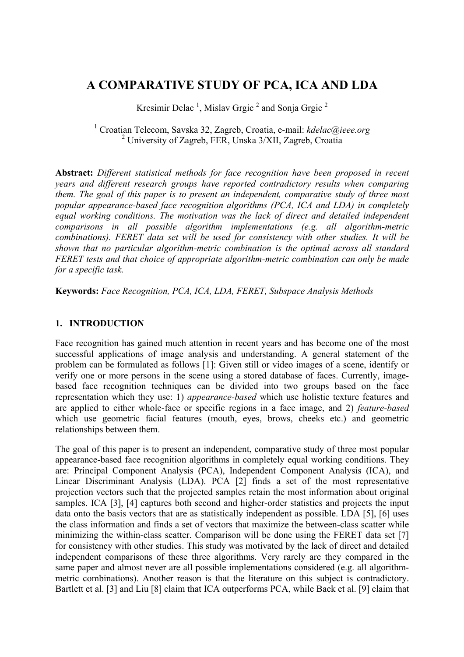# **A COMPARATIVE STUDY OF PCA, ICA AND LDA**

Kresimir Delac<sup>1</sup>, Mislav Grgic<sup>2</sup> and Sonja Grgic<sup>2</sup>

1 Croatian Telecom, Savska 32, Zagreb, Croatia, e-mail: *kdelac@ieee.org* 2 University of Zagreb, FER, Unska 3/XII, Zagreb, Croatia

**Abstract:** *Different statistical methods for face recognition have been proposed in recent years and different research groups have reported contradictory results when comparing them. The goal of this paper is to present an independent, comparative study of three most popular appearance-based face recognition algorithms (PCA, ICA and LDA) in completely equal working conditions. The motivation was the lack of direct and detailed independent comparisons in all possible algorithm implementations (e.g. all algorithm-metric combinations). FERET data set will be used for consistency with other studies. It will be shown that no particular algorithm-metric combination is the optimal across all standard FERET tests and that choice of appropriate algorithm-metric combination can only be made for a specific task.* 

**Keywords:** *Face Recognition, PCA, ICA, LDA, FERET, Subspace Analysis Methods* 

### **1. INTRODUCTION**

Face recognition has gained much attention in recent years and has become one of the most successful applications of image analysis and understanding. A general statement of the problem can be formulated as follows [1]: Given still or video images of a scene, identify or verify one or more persons in the scene using a stored database of faces. Currently, imagebased face recognition techniques can be divided into two groups based on the face representation which they use: 1) *appearance-based* which use holistic texture features and are applied to either whole-face or specific regions in a face image, and 2) *feature-based* which use geometric facial features (mouth, eyes, brows, cheeks etc.) and geometric relationships between them.

The goal of this paper is to present an independent, comparative study of three most popular appearance-based face recognition algorithms in completely equal working conditions. They are: Principal Component Analysis (PCA), Independent Component Analysis (ICA), and Linear Discriminant Analysis (LDA). PCA [2] finds a set of the most representative projection vectors such that the projected samples retain the most information about original samples. ICA [3], [4] captures both second and higher-order statistics and projects the input data onto the basis vectors that are as statistically independent as possible. LDA [5], [6] uses the class information and finds a set of vectors that maximize the between-class scatter while minimizing the within-class scatter. Comparison will be done using the FERET data set [7] for consistency with other studies. This study was motivated by the lack of direct and detailed independent comparisons of these three algorithms. Very rarely are they compared in the same paper and almost never are all possible implementations considered (e.g. all algorithmmetric combinations). Another reason is that the literature on this subject is contradictory. Bartlett et al. [3] and Liu [8] claim that ICA outperforms PCA, while Baek et al. [9] claim that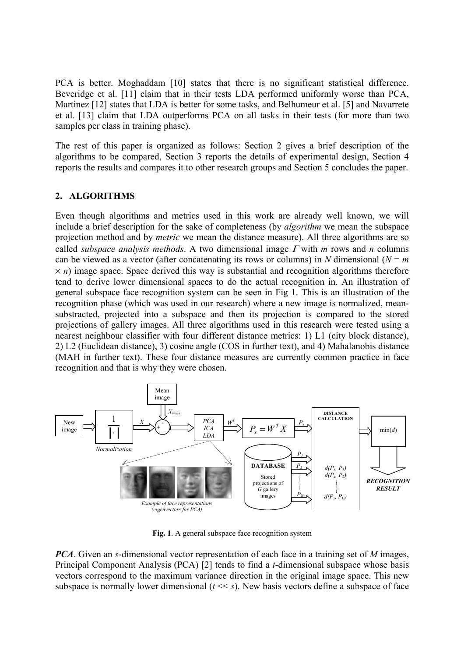PCA is better. Moghaddam [10] states that there is no significant statistical difference. Beveridge et al. [11] claim that in their tests LDA performed uniformly worse than PCA, Martinez [12] states that LDA is better for some tasks, and Belhumeur et al. [5] and Navarrete et al. [13] claim that LDA outperforms PCA on all tasks in their tests (for more than two samples per class in training phase).

The rest of this paper is organized as follows: Section 2 gives a brief description of the algorithms to be compared, Section 3 reports the details of experimental design, Section 4 reports the results and compares it to other research groups and Section 5 concludes the paper.

### **2. ALGORITHMS**

Even though algorithms and metrics used in this work are already well known, we will include a brief description for the sake of completeness (by *algorithm* we mean the subspace projection method and by *metric* we mean the distance measure). All three algorithms are so called *subspace analysis methods*. A two dimensional image Γ with *m* rows and *n* columns can be viewed as a vector (after concatenating its rows or columns) in *N* dimensional ( $N = m$ )  $\times$  *n*) image space. Space derived this way is substantial and recognition algorithms therefore tend to derive lower dimensional spaces to do the actual recognition in. An illustration of general subspace face recognition system can be seen in Fig 1. This is an illustration of the recognition phase (which was used in our research) where a new image is normalized, meansubstracted, projected into a subspace and then its projection is compared to the stored projections of gallery images. All three algorithms used in this research were tested using a nearest neighbour classifier with four different distance metrics: 1) L1 (city block distance), 2) L2 (Euclidean distance), 3) cosine angle (COS in further text), and 4) Mahalanobis distance (MAH in further text). These four distance measures are currently common practice in face recognition and that is why they were chosen.



**Fig. 1**. A general subspace face recognition system

*PCA*. Given an *s*-dimensional vector representation of each face in a training set of *M* images, Principal Component Analysis (PCA) [2] tends to find a *t*-dimensional subspace whose basis vectors correspond to the maximum variance direction in the original image space. This new subspace is normally lower dimensional  $(t \ll s)$ . New basis vectors define a subspace of face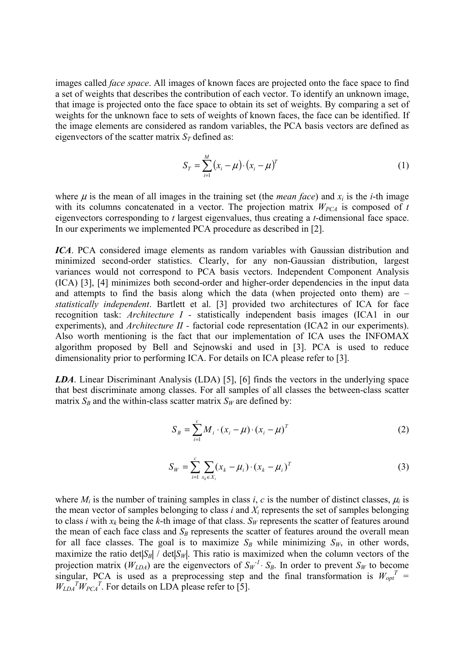images called *face space*. All images of known faces are projected onto the face space to find a set of weights that describes the contribution of each vector. To identify an unknown image, that image is projected onto the face space to obtain its set of weights. By comparing a set of weights for the unknown face to sets of weights of known faces, the face can be identified. If the image elements are considered as random variables, the PCA basis vectors are defined as eigenvectors of the scatter matrix  $S_T$  defined as:

$$
S_T = \sum_{i=1}^M (x_i - \mu) \cdot (x_i - \mu)^T
$$
 (1)

where  $\mu$  is the mean of all images in the training set (the *mean face*) and  $x_i$  is the *i*-th image with its columns concatenated in a vector. The projection matrix  $W_{PCA}$  is composed of *t* eigenvectors corresponding to *t* largest eigenvalues, thus creating a *t*-dimensional face space. In our experiments we implemented PCA procedure as described in [2].

*ICA*. PCA considered image elements as random variables with Gaussian distribution and minimized second-order statistics. Clearly, for any non-Gaussian distribution, largest variances would not correspond to PCA basis vectors. Independent Component Analysis (ICA) [3], [4] minimizes both second-order and higher-order dependencies in the input data and attempts to find the basis along which the data (when projected onto them) are – *statistically independent*. Bartlett et al. [3] provided two architectures of ICA for face recognition task: *Architecture I -* statistically independent basis images (ICA1 in our experiments), and *Architecture II* - factorial code representation (ICA2 in our experiments). Also worth mentioning is the fact that our implementation of ICA uses the INFOMAX algorithm proposed by Bell and Sejnowski and used in [3]. PCA is used to reduce dimensionality prior to performing ICA. For details on ICA please refer to [3].

*LDA*. Linear Discriminant Analysis (LDA) [5], [6] finds the vectors in the underlying space that best discriminate among classes. For all samples of all classes the between-class scatter matrix  $S_B$  and the within-class scatter matrix  $S_W$  are defined by:

$$
S_B = \sum_{i=1}^{c} M_i \cdot (x_i - \mu) \cdot (x_i - \mu)^T
$$
 (2)

$$
S_W = \sum_{i=1}^{c} \sum_{x_k \in X_i} (x_k - \mu_i) \cdot (x_k - \mu_i)^T
$$
 (3)

where  $M_i$  is the number of training samples in class *i*, *c* is the number of distinct classes,  $\mu_i$  is the mean vector of samples belonging to class *i* and *Xi* represents the set of samples belonging to class *i* with  $x_k$  being the *k*-th image of that class.  $S_W$  represents the scatter of features around the mean of each face class and  $S_B$  represents the scatter of features around the overall mean for all face classes. The goal is to maximize  $S_B$  while minimizing  $S_W$ , in other words, maximize the ratio det $|S_B|$  / det $|S_W|$ . This ratio is maximized when the column vectors of the projection matrix  $(W_{LDA})$  are the eigenvectors of  $S_W^{-1} \cdot S_B$ . In order to prevent  $S_W$  to become singular, PCA is used as a preprocessing step and the final transformation is  $W_{opt}^T$  =  $W_{LDA}^T W_{PCA}^T$ . For details on LDA please refer to [5].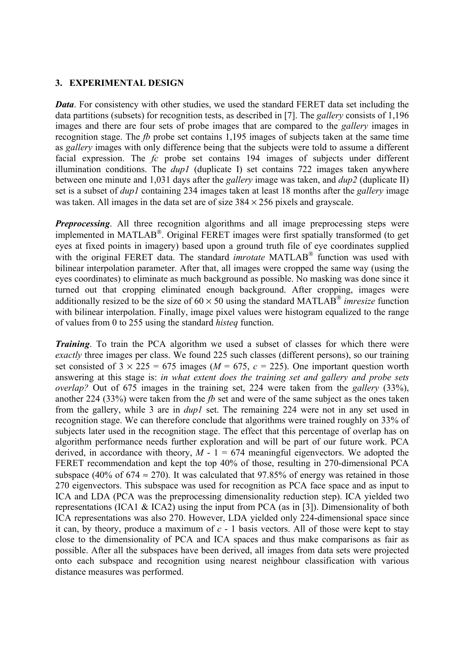# **3. EXPERIMENTAL DESIGN**

*Data*. For consistency with other studies, we used the standard FERET data set including the data partitions (subsets) for recognition tests, as described in [7]. The *gallery* consists of 1,196 images and there are four sets of probe images that are compared to the *gallery* images in recognition stage. The *fb* probe set contains 1,195 images of subjects taken at the same time as *gallery* images with only difference being that the subjects were told to assume a different facial expression. The *fc* probe set contains 194 images of subjects under different illumination conditions. The *dup1* (duplicate I) set contains 722 images taken anywhere between one minute and 1,031 days after the *gallery* image was taken, and *dup2* (duplicate II) set is a subset of *dup1* containing 234 images taken at least 18 months after the *gallery* image was taken. All images in the data set are of size  $384 \times 256$  pixels and grayscale.

**Preprocessing**. All three recognition algorithms and all image preprocessing steps were implemented in MATLAB<sup>®</sup>. Original FERET images were first spatially transformed (to get eyes at fixed points in imagery) based upon a ground truth file of eye coordinates supplied with the original FERET data. The standard *imrotate* MATLAB<sup>®</sup> function was used with bilinear interpolation parameter. After that, all images were cropped the same way (using the eyes coordinates) to eliminate as much background as possible. No masking was done since it turned out that cropping eliminated enough background. After cropping, images were additionally resized to be the size of  $60 \times 50$  using the standard MATLAB<sup>®</sup> *imresize* function with bilinear interpolation. Finally, image pixel values were histogram equalized to the range of values from 0 to 255 using the standard *histeq* function.

*Training*. To train the PCA algorithm we used a subset of classes for which there were *exactly* three images per class. We found 225 such classes (different persons), so our training set consisted of  $3 \times 225 = 675$  images ( $M = 675$ ,  $c = 225$ ). One important question worth answering at this stage is: *in what extent does the training set and gallery and probe sets overlap?* Out of 675 images in the training set, 224 were taken from the *gallery* (33%), another 224 (33%) were taken from the *fb* set and were of the same subject as the ones taken from the gallery, while 3 are in *dup1* set. The remaining 224 were not in any set used in recognition stage. We can therefore conclude that algorithms were trained roughly on 33% of subjects later used in the recognition stage. The effect that this percentage of overlap has on algorithm performance needs further exploration and will be part of our future work. PCA derived, in accordance with theory,  $M - 1 = 674$  meaningful eigenvectors. We adopted the FERET recommendation and kept the top 40% of those, resulting in 270-dimensional PCA subspace (40% of 674  $\approx$  270). It was calculated that 97.85% of energy was retained in those 270 eigenvectors. This subspace was used for recognition as PCA face space and as input to ICA and LDA (PCA was the preprocessing dimensionality reduction step). ICA yielded two representations (ICA1 & ICA2) using the input from PCA (as in [3]). Dimensionality of both ICA representations was also 270. However, LDA yielded only 224-dimensional space since it can, by theory, produce a maximum of  $c - 1$  basis vectors. All of those were kept to stay close to the dimensionality of PCA and ICA spaces and thus make comparisons as fair as possible. After all the subspaces have been derived, all images from data sets were projected onto each subspace and recognition using nearest neighbour classification with various distance measures was performed.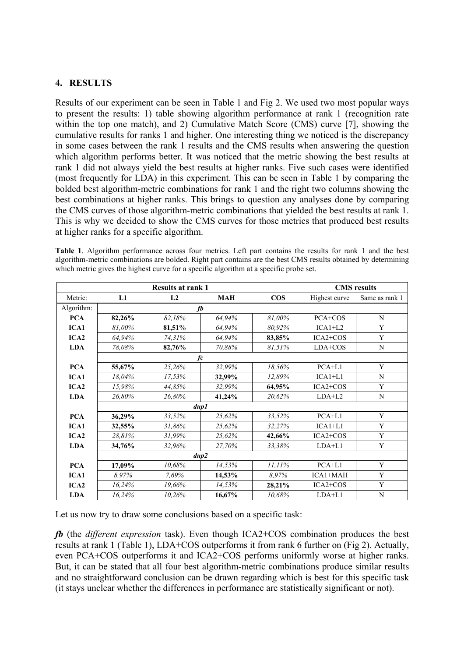# **4. RESULTS**

Results of our experiment can be seen in Table 1 and Fig 2. We used two most popular ways to present the results: 1) table showing algorithm performance at rank 1 (recognition rate within the top one match), and 2) Cumulative Match Score (CMS) curve [7], showing the cumulative results for ranks 1 and higher. One interesting thing we noticed is the discrepancy in some cases between the rank 1 results and the CMS results when answering the question which algorithm performs better. It was noticed that the metric showing the best results at rank 1 did not always yield the best results at higher ranks. Five such cases were identified (most frequently for LDA) in this experiment. This can be seen in Table 1 by comparing the bolded best algorithm-metric combinations for rank 1 and the right two columns showing the best combinations at higher ranks. This brings to question any analyses done by comparing the CMS curves of those algorithm-metric combinations that yielded the best results at rank 1. This is why we decided to show the CMS curves for those metrics that produced best results at higher ranks for a specific algorithm.

**Table 1**. Algorithm performance across four metrics. Left part contains the results for rank 1 and the best algorithm-metric combinations are bolded. Right part contains are the best CMS results obtained by determining which metric gives the highest curve for a specific algorithm at a specific probe set.

| <b>Results at rank 1</b> |        |                |            |           | <b>CMS</b> results |                |
|--------------------------|--------|----------------|------------|-----------|--------------------|----------------|
| Metric:                  | L1     | L <sub>2</sub> | <b>MAH</b> | $\cos$    | Highest curve      | Same as rank 1 |
| Algorithm:               | fb     |                |            |           |                    |                |
| <b>PCA</b>               | 82,26% | 82,18%         | 64,94%     | 81,00%    | PCA+COS            | N              |
| ICA1                     | 81,00% | 81,51%         | 64,94%     | 80,92%    | $ICA1+L2$          | Y              |
| ICA <sub>2</sub>         | 64,94% | 74,31%         | 64,94%     | 83,85%    | $ICA2+COS$         | Y              |
| <b>LDA</b>               | 78,08% | 82,76%         | 70,88%     | 81,51%    | LDA+COS            | N              |
|                          | fc     |                |            |           |                    |                |
| <b>PCA</b>               | 55,67% | 25,26%         | 32,99%     | 18,56%    | $PCA+L1$           | Y              |
| ICA1                     | 18,04% | 17,53%         | 32,99%     | 12,89%    | $ICA1+L1$          | N              |
| ICA <sub>2</sub>         | 15,98% | 44,85%         | 32,99%     | 64,95%    | $ICA2+COS$         | Y              |
| <b>LDA</b>               | 26,80% | 26,80%         | 41,24%     | 20,62%    | $LDA+L2$           | N              |
|                          | dup1   |                |            |           |                    |                |
| <b>PCA</b>               | 36,29% | 33,52%         | 25,62%     | 33,52%    | $PCA+L1$           | Y              |
| ICA1                     | 32,55% | 31,86%         | 25,62%     | 32,27%    | $ICA1+L1$          | Y              |
| ICA2                     | 28,81% | 31,99%         | 25,62%     | 42,66%    | $ICA2+COS$         | Y              |
| <b>LDA</b>               | 34,76% | 32,96%         | 27,70%     | 33,38%    | $LDA+L1$           | Y              |
|                          | dup2   |                |            |           |                    |                |
| <b>PCA</b>               | 17,09% | 10,68%         | 14,53%     | $11,11\%$ | $PCA+L1$           | Y              |
| ICA1                     | 8,97%  | 7,69%          | 14,53%     | 8,97%     | ICA1+MAH           | Y              |
| ICA2                     | 16,24% | 19,66%         | 14,53%     | 28,21%    | ICA2+COS           | Y              |
| <b>LDA</b>               | 16,24% | 10,26%         | 16,67%     | 10,68%    | $LDA+L1$           | N              |

Let us now try to draw some conclusions based on a specific task:

*fb* (the *different expression* task). Even though ICA2+COS combination produces the best results at rank 1 (Table 1), LDA+COS outperforms it from rank 6 further on (Fig 2). Actually, even PCA+COS outperforms it and ICA2+COS performs uniformly worse at higher ranks. But, it can be stated that all four best algorithm-metric combinations produce similar results and no straightforward conclusion can be drawn regarding which is best for this specific task (it stays unclear whether the differences in performance are statistically significant or not).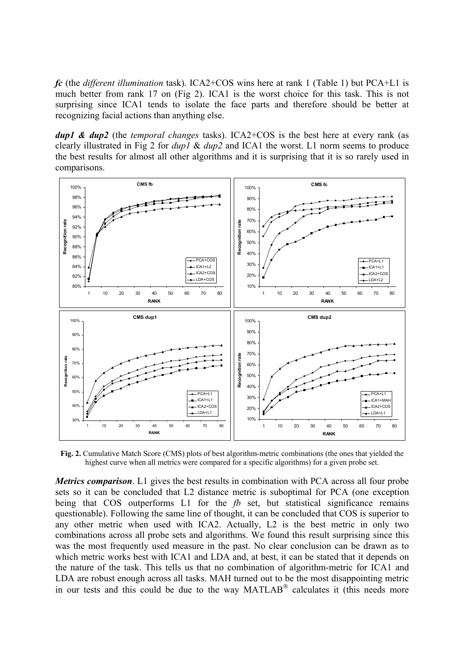*fc* (the *different illumination* task). ICA2+COS wins here at rank 1 (Table 1) but PCA+L1 is much better from rank 17 on (Fig 2). ICA1 is the worst choice for this task. This is not surprising since ICA1 tends to isolate the face parts and therefore should be better at recognizing facial actions than anything else.

*dup1 & dup2* (the *temporal changes* tasks). ICA2+COS is the best here at every rank (as clearly illustrated in Fig 2 for *dup1* & *dup2* and ICA1 the worst. L1 norm seems to produce the best results for almost all other algorithms and it is surprising that it is so rarely used in comparisons.



**Fig. 2.** Cumulative Match Score (CMS) plots of best algorithm-metric combinations (the ones that yielded the highest curve when all metrics were compared for a specific algorithms) for a given probe set.

*Metrics comparison*. L1 gives the best results in combination with PCA across all four probe sets so it can be concluded that L2 distance metric is suboptimal for PCA (one exception being that COS outperforms L1 for the *fb* set, but statistical significance remains questionable). Following the same line of thought, it can be concluded that COS is superior to any other metric when used with ICA2. Actually, L2 is the best metric in only two combinations across all probe sets and algorithms. We found this result surprising since this was the most frequently used measure in the past. No clear conclusion can be drawn as to which metric works best with ICA1 and LDA and, at best, it can be stated that it depends on the nature of the task. This tells us that no combination of algorithm-metric for ICA1 and LDA are robust enough across all tasks. MAH turned out to be the most disappointing metric in our tests and this could be due to the way  $MATLAB^{\circledR}$  calculates it (this needs more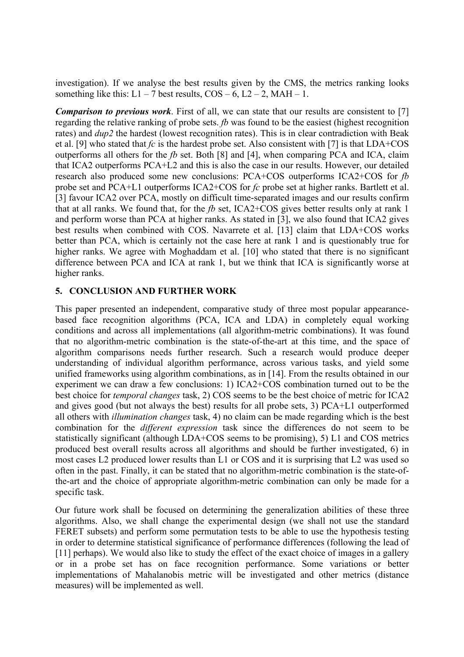investigation). If we analyse the best results given by the CMS, the metrics ranking looks something like this:  $L1 - 7$  best results,  $COS - 6$ ,  $L2 - 2$ , MAH – 1.

*Comparison to previous work.* First of all, we can state that our results are consistent to [7] regarding the relative ranking of probe sets. *fb* was found to be the easiest (highest recognition rates) and *dup2* the hardest (lowest recognition rates). This is in clear contradiction with Beak et al. [9] who stated that *fc* is the hardest probe set. Also consistent with [7] is that LDA+COS outperforms all others for the *fb* set. Both [8] and [4], when comparing PCA and ICA, claim that ICA2 outperforms PCA+L2 and this is also the case in our results. However, our detailed research also produced some new conclusions: PCA+COS outperforms ICA2+COS for *fb* probe set and PCA+L1 outperforms ICA2+COS for *fc* probe set at higher ranks. Bartlett et al. [3] favour ICA2 over PCA, mostly on difficult time-separated images and our results confirm that at all ranks. We found that, for the *fb* set, ICA2+COS gives better results only at rank 1 and perform worse than PCA at higher ranks. As stated in [3], we also found that ICA2 gives best results when combined with COS. Navarrete et al. [13] claim that LDA+COS works better than PCA, which is certainly not the case here at rank 1 and is questionably true for higher ranks. We agree with Moghaddam et al. [10] who stated that there is no significant difference between PCA and ICA at rank 1, but we think that ICA is significantly worse at higher ranks.

#### **5. CONCLUSION AND FURTHER WORK**

This paper presented an independent, comparative study of three most popular appearancebased face recognition algorithms (PCA, ICA and LDA) in completely equal working conditions and across all implementations (all algorithm-metric combinations). It was found that no algorithm-metric combination is the state-of-the-art at this time, and the space of algorithm comparisons needs further research. Such a research would produce deeper understanding of individual algorithm performance, across various tasks, and yield some unified frameworks using algorithm combinations, as in [14]. From the results obtained in our experiment we can draw a few conclusions: 1) ICA2+COS combination turned out to be the best choice for *temporal changes* task, 2) COS seems to be the best choice of metric for ICA2 and gives good (but not always the best) results for all probe sets, 3) PCA+L1 outperformed all others with *illumination changes* task, 4) no claim can be made regarding which is the best combination for the *different expression* task since the differences do not seem to be statistically significant (although LDA+COS seems to be promising), 5) L1 and COS metrics produced best overall results across all algorithms and should be further investigated, 6) in most cases L2 produced lower results than L1 or COS and it is surprising that L2 was used so often in the past. Finally, it can be stated that no algorithm-metric combination is the state-ofthe-art and the choice of appropriate algorithm-metric combination can only be made for a specific task.

Our future work shall be focused on determining the generalization abilities of these three algorithms. Also, we shall change the experimental design (we shall not use the standard FERET subsets) and perform some permutation tests to be able to use the hypothesis testing in order to determine statistical significance of performance differences (following the lead of [11] perhaps). We would also like to study the effect of the exact choice of images in a gallery or in a probe set has on face recognition performance. Some variations or better implementations of Mahalanobis metric will be investigated and other metrics (distance measures) will be implemented as well.